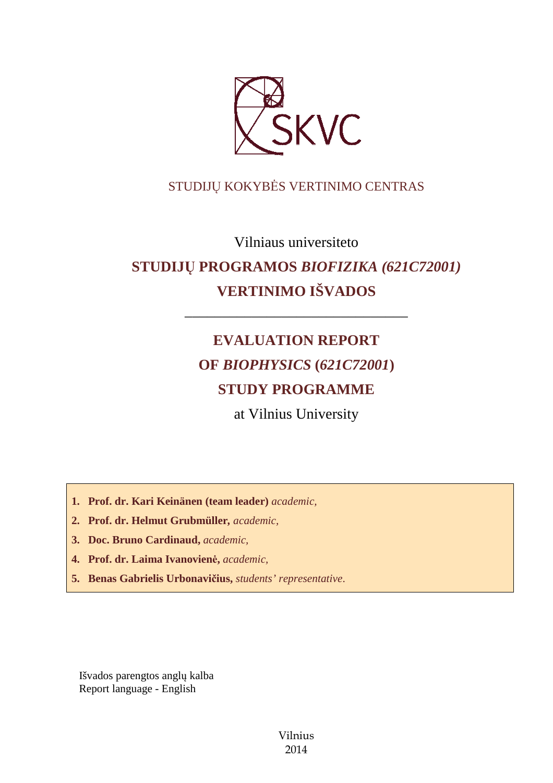

### STUDIJŲ KOKYBĖS VERTINIMO CENTRAS

Vilniaus universiteto

# **STUDIJŲ PROGRAMOS** *BIOFIZIKA (621C72001)* **VERTINIMO IŠVADOS**

––––––––––––––––––––––––––––––

# **EVALUATION REPORT OF** *BIOPHYSICS* **(***621C72001***) STUDY PROGRAMME**

at Vilnius University

**1. Prof. dr. Kari Keinänen (team leader)** *academic,*

- **2. Prof. dr. Helmut Grubmüller***, academic,*
- **3. Doc. Bruno Cardinaud,** *academic,*
- **4. Prof. dr. Laima Ivanovienė,** *academic,*
- **5. Benas Gabrielis Urbonavičius,** *students' representative*.

Išvados parengtos anglų kalba Report language - English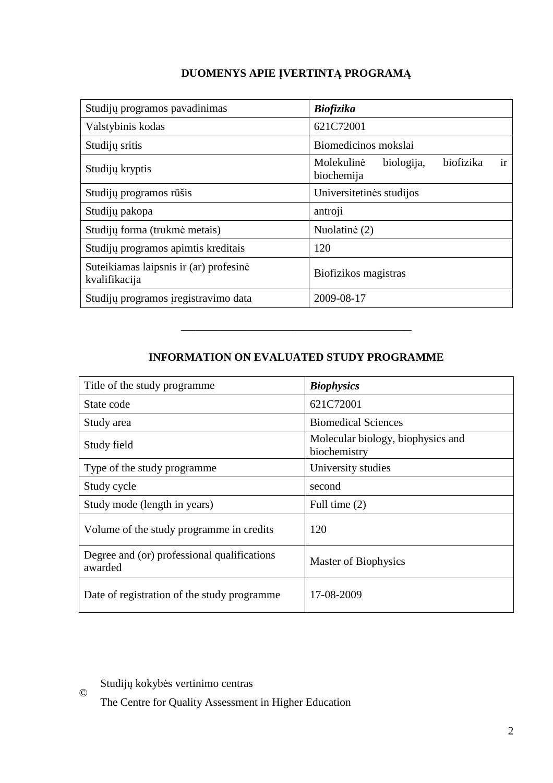## **DUOMENYS APIE ĮVERTINTĄ PROGRAMĄ**

| Studijų programos pavadinimas                           | <b>Biofizika</b>                                          |
|---------------------------------------------------------|-----------------------------------------------------------|
| Valstybinis kodas                                       | 621C72001                                                 |
| Studijų sritis                                          | Biomedicinos mokslai                                      |
| Studijų kryptis                                         | ir<br>biofizika<br>Molekulinė<br>biologija,<br>biochemija |
| Studijų programos rūšis                                 | Universitetinės studijos                                  |
| Studijų pakopa                                          | antroji                                                   |
| Studijų forma (trukmė metais)                           | Nuolatinė (2)                                             |
| Studijų programos apimtis kreditais                     | 120                                                       |
| Suteikiamas laipsnis ir (ar) profesinė<br>kvalifikacija | Biofizikos magistras                                      |
| Studijų programos įregistravimo data                    | 2009-08-17                                                |

### **INFORMATION ON EVALUATED STUDY PROGRAMME**

–––––––––––––––––––––––––––––––

| Title of the study programme.                          | <b>Biophysics</b>                                 |
|--------------------------------------------------------|---------------------------------------------------|
| State code                                             | 621C72001                                         |
| Study area                                             | <b>Biomedical Sciences</b>                        |
| Study field                                            | Molecular biology, biophysics and<br>biochemistry |
| Type of the study programme                            | University studies                                |
| Study cycle                                            | second                                            |
| Study mode (length in years)                           | Full time $(2)$                                   |
| Volume of the study programme in credits               | 120                                               |
| Degree and (or) professional qualifications<br>awarded | Master of Biophysics                              |
| Date of registration of the study programme            | 17-08-2009                                        |

Studijų kokybės vertinimo centras

©

The Centre for Quality Assessment in Higher Education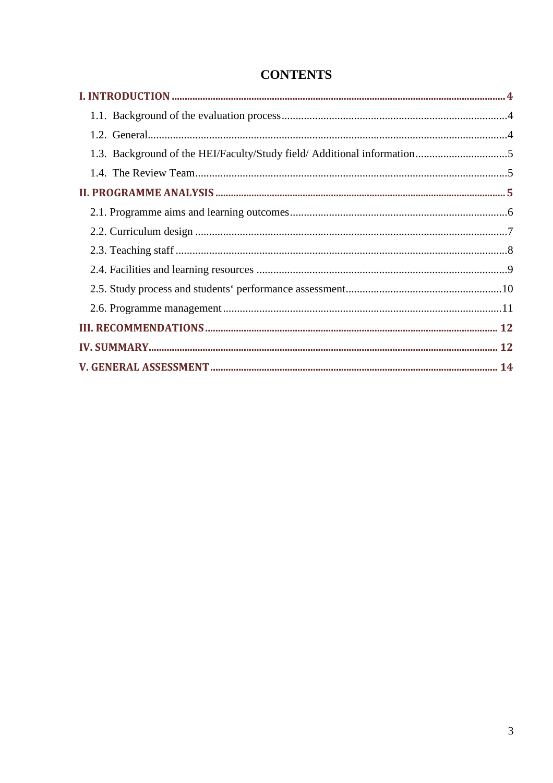| 1.3. Background of the HEI/Faculty/Study field/ Additional information5 |  |
|-------------------------------------------------------------------------|--|
|                                                                         |  |
|                                                                         |  |
|                                                                         |  |
|                                                                         |  |
|                                                                         |  |
|                                                                         |  |
|                                                                         |  |
|                                                                         |  |
|                                                                         |  |
|                                                                         |  |
|                                                                         |  |

## **CONTENTS**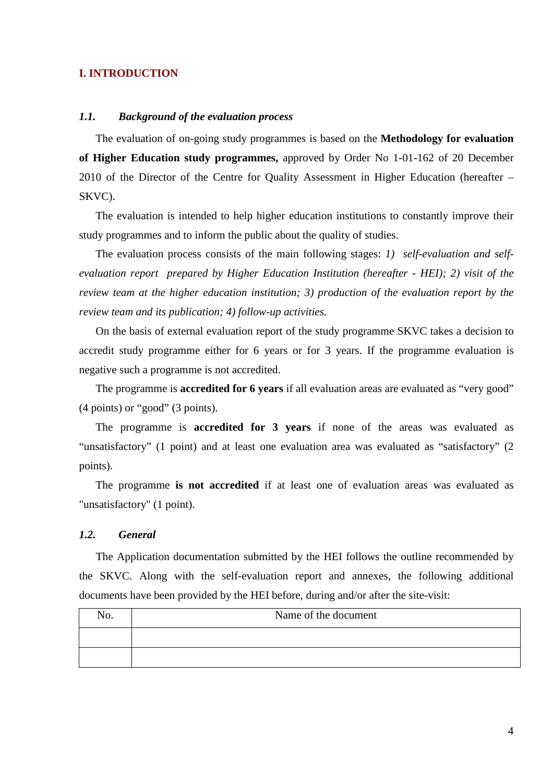#### **I. INTRODUCTION**

#### *1.1. Background of the evaluation process*

The evaluation of on-going study programmes is based on the **Methodology for evaluation of Higher Education study programmes,** approved by Order No 1-01-162 of 20 December 2010 of the Director of the Centre for Quality Assessment in Higher Education (hereafter – SKVC).

The evaluation is intended to help higher education institutions to constantly improve their study programmes and to inform the public about the quality of studies.

The evaluation process consists of the main following stages: *1) self-evaluation and selfevaluation report prepared by Higher Education Institution (hereafter - HEI); 2) visit of the review team at the higher education institution; 3) production of the evaluation report by the review team and its publication; 4) follow-up activities.* 

On the basis of external evaluation report of the study programme SKVC takes a decision to accredit study programme either for 6 years or for 3 years. If the programme evaluation is negative such a programme is not accredited.

The programme is **accredited for 6 years** if all evaluation areas are evaluated as "very good" (4 points) or "good" (3 points).

The programme is **accredited for 3 years** if none of the areas was evaluated as "unsatisfactory" (1 point) and at least one evaluation area was evaluated as "satisfactory" (2 points).

The programme **is not accredited** if at least one of evaluation areas was evaluated as "unsatisfactory" (1 point).

#### *1.2. General*

The Application documentation submitted by the HEI follows the outline recommended by the SKVC. Along with the self-evaluation report and annexes, the following additional documents have been provided by the HEI before, during and/or after the site-visit:

| N <sub>0</sub> . | Name of the document |
|------------------|----------------------|
|                  |                      |
|                  |                      |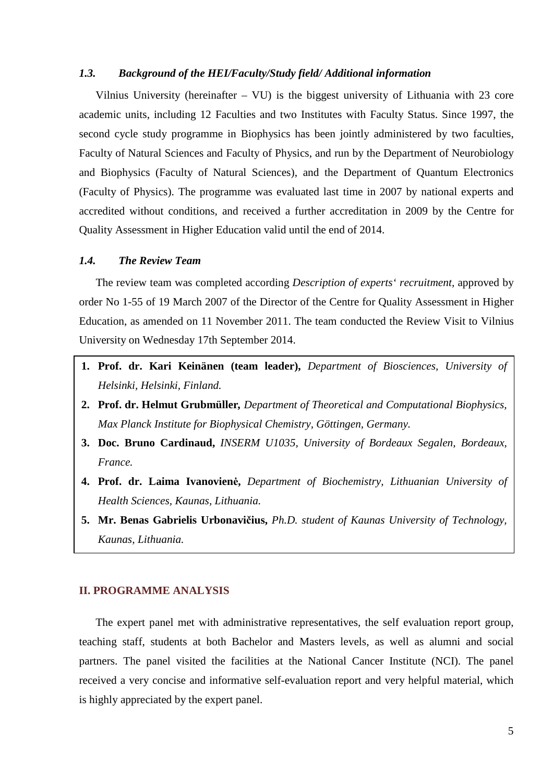#### *1.3. Background of the HEI/Faculty/Study field/ Additional information*

Vilnius University (hereinafter – VU) is the biggest university of Lithuania with 23 core academic units, including 12 Faculties and two Institutes with Faculty Status. Since 1997, the second cycle study programme in Biophysics has been jointly administered by two faculties, Faculty of Natural Sciences and Faculty of Physics, and run by the Department of Neurobiology and Biophysics (Faculty of Natural Sciences), and the Department of Quantum Electronics (Faculty of Physics). The programme was evaluated last time in 2007 by national experts and accredited without conditions, and received a further accreditation in 2009 by the Centre for Quality Assessment in Higher Education valid until the end of 2014.

#### *1.4. The Review Team*

The review team was completed according *Description of experts' recruitment*, approved by order No 1-55 of 19 March 2007 of the Director of the Centre for Quality Assessment in Higher Education, as amended on 11 November 2011. The team conducted the Review Visit to Vilnius University on Wednesday 17th September 2014.

- **1. Prof. dr. Kari Keinänen (team leader),** *Department of Biosciences, University of Helsinki, Helsinki, Finland.*
- **2. Prof. dr. Helmut Grubmüller***, Department of Theoretical and Computational Biophysics, Max Planck Institute for Biophysical Chemistry, Göttingen, Germany.*
- **3. Doc. Bruno Cardinaud,** *INSERM U1035, University of Bordeaux Segalen, Bordeaux, France.*
- **4. Prof. dr. Laima Ivanovienė,** *Department of Biochemistry, Lithuanian University of Health Sciences, Kaunas, Lithuania.*
- **5. Mr. Benas Gabrielis Urbonavičius,** *Ph.D. student of Kaunas University of Technology, Kaunas, Lithuania.*

#### **II. PROGRAMME ANALYSIS**

The expert panel met with administrative representatives, the self evaluation report group, teaching staff, students at both Bachelor and Masters levels, as well as alumni and social partners. The panel visited the facilities at the National Cancer Institute (NCI). The panel received a very concise and informative self-evaluation report and very helpful material, which is highly appreciated by the expert panel.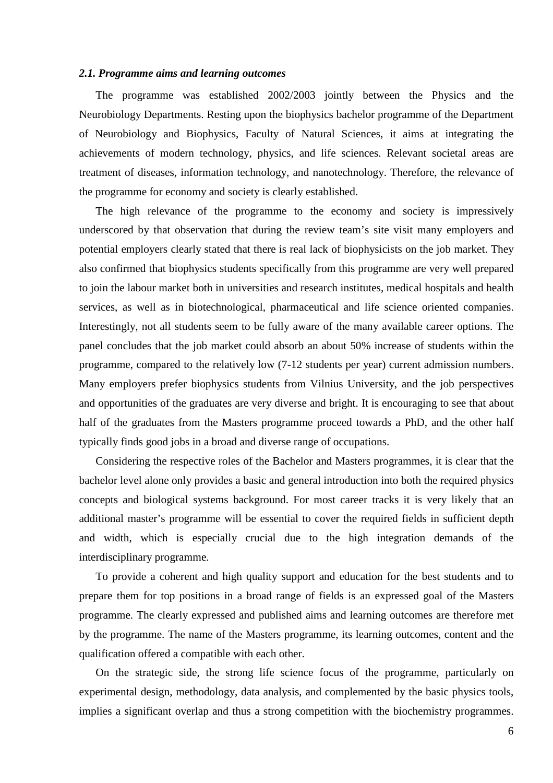#### *2.1. Programme aims and learning outcomes*

The programme was established 2002/2003 jointly between the Physics and the Neurobiology Departments. Resting upon the biophysics bachelor programme of the Department of Neurobiology and Biophysics, Faculty of Natural Sciences, it aims at integrating the achievements of modern technology, physics, and life sciences. Relevant societal areas are treatment of diseases, information technology, and nanotechnology. Therefore, the relevance of the programme for economy and society is clearly established.

The high relevance of the programme to the economy and society is impressively underscored by that observation that during the review team's site visit many employers and potential employers clearly stated that there is real lack of biophysicists on the job market. They also confirmed that biophysics students specifically from this programme are very well prepared to join the labour market both in universities and research institutes, medical hospitals and health services, as well as in biotechnological, pharmaceutical and life science oriented companies. Interestingly, not all students seem to be fully aware of the many available career options. The panel concludes that the job market could absorb an about 50% increase of students within the programme, compared to the relatively low (7-12 students per year) current admission numbers. Many employers prefer biophysics students from Vilnius University, and the job perspectives and opportunities of the graduates are very diverse and bright. It is encouraging to see that about half of the graduates from the Masters programme proceed towards a PhD, and the other half typically finds good jobs in a broad and diverse range of occupations.

Considering the respective roles of the Bachelor and Masters programmes, it is clear that the bachelor level alone only provides a basic and general introduction into both the required physics concepts and biological systems background. For most career tracks it is very likely that an additional master's programme will be essential to cover the required fields in sufficient depth and width, which is especially crucial due to the high integration demands of the interdisciplinary programme.

To provide a coherent and high quality support and education for the best students and to prepare them for top positions in a broad range of fields is an expressed goal of the Masters programme. The clearly expressed and published aims and learning outcomes are therefore met by the programme. The name of the Masters programme, its learning outcomes, content and the qualification offered a compatible with each other.

On the strategic side, the strong life science focus of the programme, particularly on experimental design, methodology, data analysis, and complemented by the basic physics tools, implies a significant overlap and thus a strong competition with the biochemistry programmes.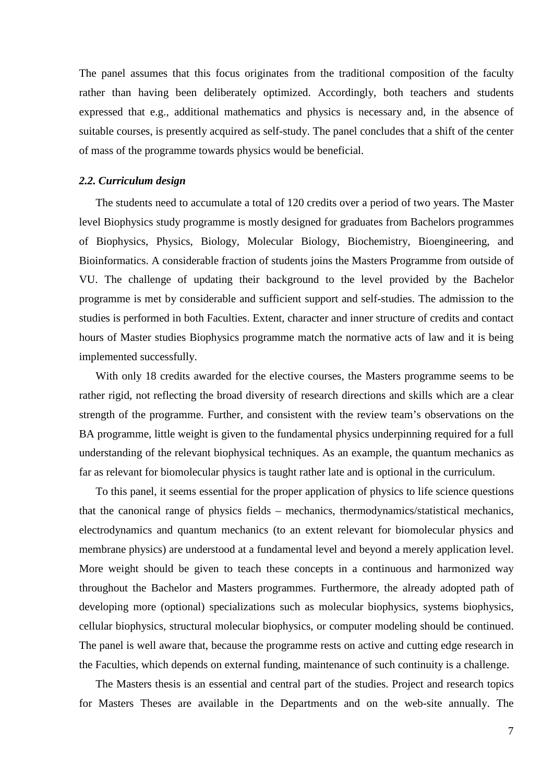The panel assumes that this focus originates from the traditional composition of the faculty rather than having been deliberately optimized. Accordingly, both teachers and students expressed that e.g., additional mathematics and physics is necessary and, in the absence of suitable courses, is presently acquired as self-study. The panel concludes that a shift of the center of mass of the programme towards physics would be beneficial.

#### *2.2. Curriculum design*

The students need to accumulate a total of 120 credits over a period of two years. The Master level Biophysics study programme is mostly designed for graduates from Bachelors programmes of Biophysics, Physics, Biology, Molecular Biology, Biochemistry, Bioengineering, and Bioinformatics. A considerable fraction of students joins the Masters Programme from outside of VU. The challenge of updating their background to the level provided by the Bachelor programme is met by considerable and sufficient support and self-studies. The admission to the studies is performed in both Faculties. Extent, character and inner structure of credits and contact hours of Master studies Biophysics programme match the normative acts of law and it is being implemented successfully.

With only 18 credits awarded for the elective courses, the Masters programme seems to be rather rigid, not reflecting the broad diversity of research directions and skills which are a clear strength of the programme. Further, and consistent with the review team's observations on the BA programme, little weight is given to the fundamental physics underpinning required for a full understanding of the relevant biophysical techniques. As an example, the quantum mechanics as far as relevant for biomolecular physics is taught rather late and is optional in the curriculum.

To this panel, it seems essential for the proper application of physics to life science questions that the canonical range of physics fields – mechanics, thermodynamics/statistical mechanics, electrodynamics and quantum mechanics (to an extent relevant for biomolecular physics and membrane physics) are understood at a fundamental level and beyond a merely application level. More weight should be given to teach these concepts in a continuous and harmonized way throughout the Bachelor and Masters programmes. Furthermore, the already adopted path of developing more (optional) specializations such as molecular biophysics, systems biophysics, cellular biophysics, structural molecular biophysics, or computer modeling should be continued. The panel is well aware that, because the programme rests on active and cutting edge research in the Faculties, which depends on external funding, maintenance of such continuity is a challenge.

The Masters thesis is an essential and central part of the studies. Project and research topics for Masters Theses are available in the Departments and on the web-site annually. The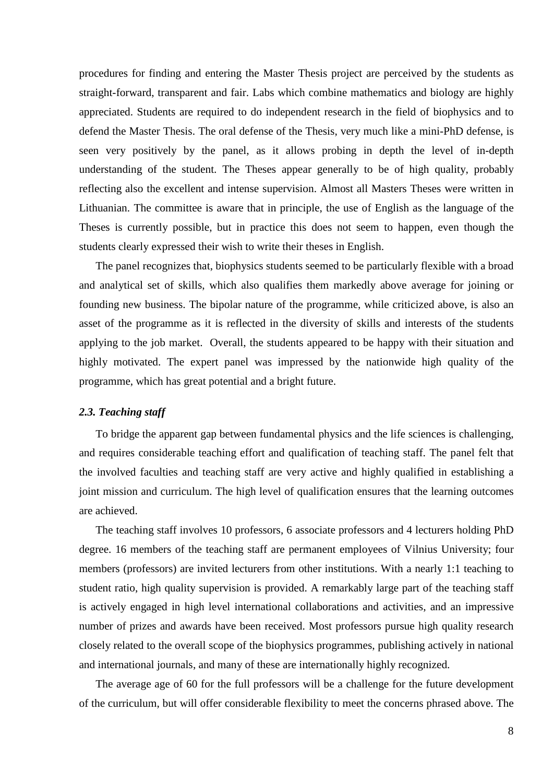procedures for finding and entering the Master Thesis project are perceived by the students as straight-forward, transparent and fair. Labs which combine mathematics and biology are highly appreciated. Students are required to do independent research in the field of biophysics and to defend the Master Thesis. The oral defense of the Thesis, very much like a mini-PhD defense, is seen very positively by the panel, as it allows probing in depth the level of in-depth understanding of the student. The Theses appear generally to be of high quality, probably reflecting also the excellent and intense supervision. Almost all Masters Theses were written in Lithuanian. The committee is aware that in principle, the use of English as the language of the Theses is currently possible, but in practice this does not seem to happen, even though the students clearly expressed their wish to write their theses in English.

The panel recognizes that, biophysics students seemed to be particularly flexible with a broad and analytical set of skills, which also qualifies them markedly above average for joining or founding new business. The bipolar nature of the programme, while criticized above, is also an asset of the programme as it is reflected in the diversity of skills and interests of the students applying to the job market. Overall, the students appeared to be happy with their situation and highly motivated. The expert panel was impressed by the nationwide high quality of the programme, which has great potential and a bright future.

#### *2.3. Teaching staff*

To bridge the apparent gap between fundamental physics and the life sciences is challenging, and requires considerable teaching effort and qualification of teaching staff. The panel felt that the involved faculties and teaching staff are very active and highly qualified in establishing a joint mission and curriculum. The high level of qualification ensures that the learning outcomes are achieved.

The teaching staff involves 10 professors, 6 associate professors and 4 lecturers holding PhD degree. 16 members of the teaching staff are permanent employees of Vilnius University; four members (professors) are invited lecturers from other institutions. With a nearly 1:1 teaching to student ratio, high quality supervision is provided. A remarkably large part of the teaching staff is actively engaged in high level international collaborations and activities, and an impressive number of prizes and awards have been received. Most professors pursue high quality research closely related to the overall scope of the biophysics programmes, publishing actively in national and international journals, and many of these are internationally highly recognized.

The average age of 60 for the full professors will be a challenge for the future development of the curriculum, but will offer considerable flexibility to meet the concerns phrased above. The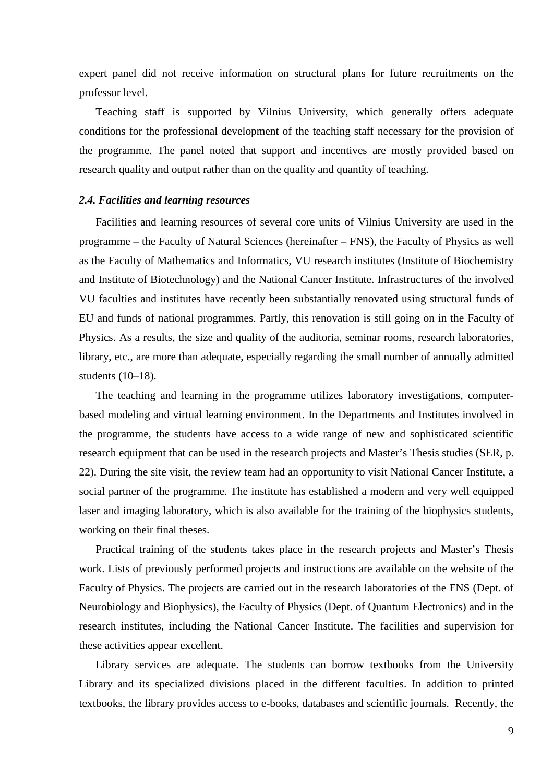expert panel did not receive information on structural plans for future recruitments on the professor level.

Teaching staff is supported by Vilnius University, which generally offers adequate conditions for the professional development of the teaching staff necessary for the provision of the programme. The panel noted that support and incentives are mostly provided based on research quality and output rather than on the quality and quantity of teaching.

#### *2.4. Facilities and learning resources*

Facilities and learning resources of several core units of Vilnius University are used in the programme – the Faculty of Natural Sciences (hereinafter – FNS), the Faculty of Physics as well as the Faculty of Mathematics and Informatics, VU research institutes (Institute of Biochemistry and Institute of Biotechnology) and the National Cancer Institute. Infrastructures of the involved VU faculties and institutes have recently been substantially renovated using structural funds of EU and funds of national programmes. Partly, this renovation is still going on in the Faculty of Physics. As a results, the size and quality of the auditoria, seminar rooms, research laboratories, library, etc., are more than adequate, especially regarding the small number of annually admitted students (10–18).

The teaching and learning in the programme utilizes laboratory investigations, computerbased modeling and virtual learning environment. In the Departments and Institutes involved in the programme, the students have access to a wide range of new and sophisticated scientific research equipment that can be used in the research projects and Master's Thesis studies (SER, p. 22). During the site visit, the review team had an opportunity to visit National Cancer Institute, a social partner of the programme. The institute has established a modern and very well equipped laser and imaging laboratory, which is also available for the training of the biophysics students, working on their final theses.

Practical training of the students takes place in the research projects and Master's Thesis work. Lists of previously performed projects and instructions are available on the website of the Faculty of Physics. The projects are carried out in the research laboratories of the FNS (Dept. of Neurobiology and Biophysics), the Faculty of Physics (Dept. of Quantum Electronics) and in the research institutes, including the National Cancer Institute. The facilities and supervision for these activities appear excellent.

Library services are adequate. The students can borrow textbooks from the University Library and its specialized divisions placed in the different faculties. In addition to printed textbooks, the library provides access to e-books, databases and scientific journals. Recently, the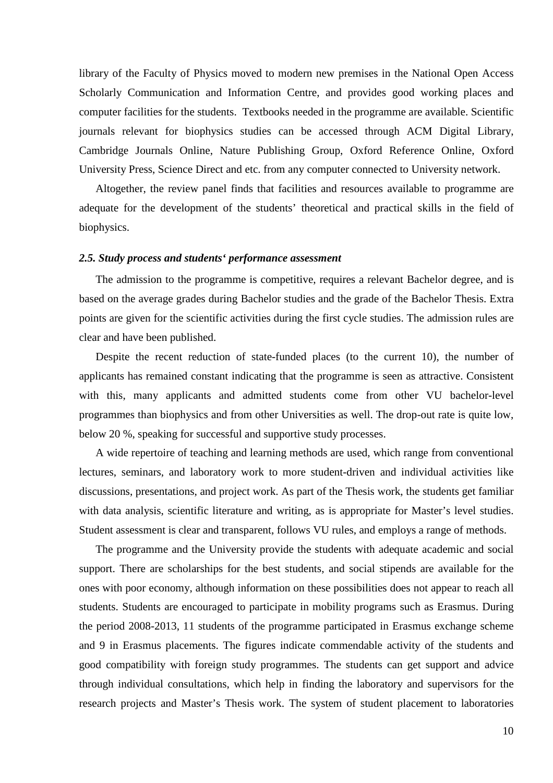library of the Faculty of Physics moved to modern new premises in the National Open Access Scholarly Communication and Information Centre, and provides good working places and computer facilities for the students. Textbooks needed in the programme are available. Scientific journals relevant for biophysics studies can be accessed through ACM Digital Library, Cambridge Journals Online, Nature Publishing Group, Oxford Reference Online, Oxford University Press, Science Direct and etc. from any computer connected to University network.

Altogether, the review panel finds that facilities and resources available to programme are adequate for the development of the students' theoretical and practical skills in the field of biophysics.

#### *2.5. Study process and students' performance assessment*

The admission to the programme is competitive, requires a relevant Bachelor degree, and is based on the average grades during Bachelor studies and the grade of the Bachelor Thesis. Extra points are given for the scientific activities during the first cycle studies. The admission rules are clear and have been published.

Despite the recent reduction of state-funded places (to the current 10), the number of applicants has remained constant indicating that the programme is seen as attractive. Consistent with this, many applicants and admitted students come from other VU bachelor-level programmes than biophysics and from other Universities as well. The drop-out rate is quite low, below 20 %, speaking for successful and supportive study processes.

A wide repertoire of teaching and learning methods are used, which range from conventional lectures, seminars, and laboratory work to more student-driven and individual activities like discussions, presentations, and project work. As part of the Thesis work, the students get familiar with data analysis, scientific literature and writing, as is appropriate for Master's level studies. Student assessment is clear and transparent, follows VU rules, and employs a range of methods.

The programme and the University provide the students with adequate academic and social support. There are scholarships for the best students, and social stipends are available for the ones with poor economy, although information on these possibilities does not appear to reach all students. Students are encouraged to participate in mobility programs such as Erasmus. During the period 2008-2013, 11 students of the programme participated in Erasmus exchange scheme and 9 in Erasmus placements. The figures indicate commendable activity of the students and good compatibility with foreign study programmes. The students can get support and advice through individual consultations, which help in finding the laboratory and supervisors for the research projects and Master's Thesis work. The system of student placement to laboratories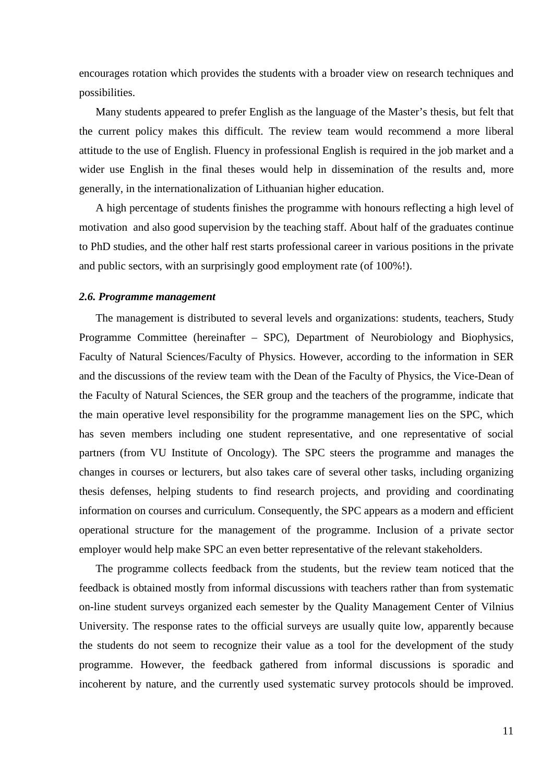encourages rotation which provides the students with a broader view on research techniques and possibilities.

Many students appeared to prefer English as the language of the Master's thesis, but felt that the current policy makes this difficult. The review team would recommend a more liberal attitude to the use of English. Fluency in professional English is required in the job market and a wider use English in the final theses would help in dissemination of the results and, more generally, in the internationalization of Lithuanian higher education.

A high percentage of students finishes the programme with honours reflecting a high level of motivation and also good supervision by the teaching staff. About half of the graduates continue to PhD studies, and the other half rest starts professional career in various positions in the private and public sectors, with an surprisingly good employment rate (of 100%!).

#### *2.6. Programme management*

The management is distributed to several levels and organizations: students, teachers, Study Programme Committee (hereinafter – SPC), Department of Neurobiology and Biophysics, Faculty of Natural Sciences/Faculty of Physics. However, according to the information in SER and the discussions of the review team with the Dean of the Faculty of Physics, the Vice-Dean of the Faculty of Natural Sciences, the SER group and the teachers of the programme, indicate that the main operative level responsibility for the programme management lies on the SPC, which has seven members including one student representative, and one representative of social partners (from VU Institute of Oncology). The SPC steers the programme and manages the changes in courses or lecturers, but also takes care of several other tasks, including organizing thesis defenses, helping students to find research projects, and providing and coordinating information on courses and curriculum. Consequently, the SPC appears as a modern and efficient operational structure for the management of the programme. Inclusion of a private sector employer would help make SPC an even better representative of the relevant stakeholders.

The programme collects feedback from the students, but the review team noticed that the feedback is obtained mostly from informal discussions with teachers rather than from systematic on-line student surveys organized each semester by the Quality Management Center of Vilnius University. The response rates to the official surveys are usually quite low, apparently because the students do not seem to recognize their value as a tool for the development of the study programme. However, the feedback gathered from informal discussions is sporadic and incoherent by nature, and the currently used systematic survey protocols should be improved.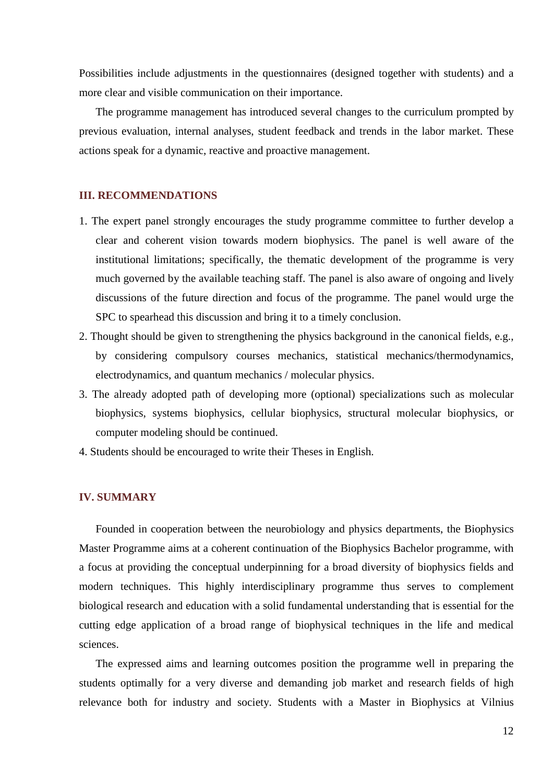Possibilities include adjustments in the questionnaires (designed together with students) and a more clear and visible communication on their importance.

The programme management has introduced several changes to the curriculum prompted by previous evaluation, internal analyses, student feedback and trends in the labor market. These actions speak for a dynamic, reactive and proactive management.

#### **III. RECOMMENDATIONS**

- 1. The expert panel strongly encourages the study programme committee to further develop a clear and coherent vision towards modern biophysics. The panel is well aware of the institutional limitations; specifically, the thematic development of the programme is very much governed by the available teaching staff. The panel is also aware of ongoing and lively discussions of the future direction and focus of the programme. The panel would urge the SPC to spearhead this discussion and bring it to a timely conclusion.
- 2. Thought should be given to strengthening the physics background in the canonical fields, e.g., by considering compulsory courses mechanics, statistical mechanics/thermodynamics, electrodynamics, and quantum mechanics / molecular physics.
- 3. The already adopted path of developing more (optional) specializations such as molecular biophysics, systems biophysics, cellular biophysics, structural molecular biophysics, or computer modeling should be continued.
- 4. Students should be encouraged to write their Theses in English.

#### **IV. SUMMARY**

Founded in cooperation between the neurobiology and physics departments, the Biophysics Master Programme aims at a coherent continuation of the Biophysics Bachelor programme, with a focus at providing the conceptual underpinning for a broad diversity of biophysics fields and modern techniques. This highly interdisciplinary programme thus serves to complement biological research and education with a solid fundamental understanding that is essential for the cutting edge application of a broad range of biophysical techniques in the life and medical sciences.

The expressed aims and learning outcomes position the programme well in preparing the students optimally for a very diverse and demanding job market and research fields of high relevance both for industry and society. Students with a Master in Biophysics at Vilnius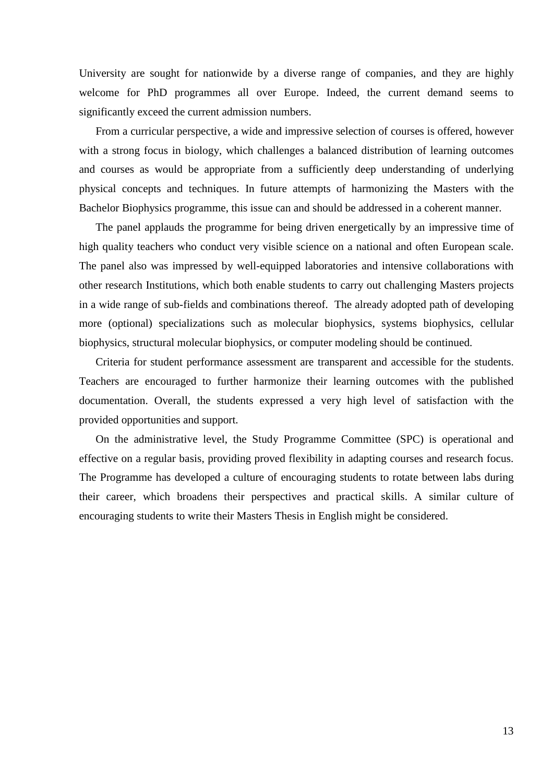University are sought for nationwide by a diverse range of companies, and they are highly welcome for PhD programmes all over Europe. Indeed, the current demand seems to significantly exceed the current admission numbers.

From a curricular perspective, a wide and impressive selection of courses is offered, however with a strong focus in biology, which challenges a balanced distribution of learning outcomes and courses as would be appropriate from a sufficiently deep understanding of underlying physical concepts and techniques. In future attempts of harmonizing the Masters with the Bachelor Biophysics programme, this issue can and should be addressed in a coherent manner.

The panel applauds the programme for being driven energetically by an impressive time of high quality teachers who conduct very visible science on a national and often European scale. The panel also was impressed by well-equipped laboratories and intensive collaborations with other research Institutions, which both enable students to carry out challenging Masters projects in a wide range of sub-fields and combinations thereof. The already adopted path of developing more (optional) specializations such as molecular biophysics, systems biophysics, cellular biophysics, structural molecular biophysics, or computer modeling should be continued.

Criteria for student performance assessment are transparent and accessible for the students. Teachers are encouraged to further harmonize their learning outcomes with the published documentation. Overall, the students expressed a very high level of satisfaction with the provided opportunities and support.

On the administrative level, the Study Programme Committee (SPC) is operational and effective on a regular basis, providing proved flexibility in adapting courses and research focus. The Programme has developed a culture of encouraging students to rotate between labs during their career, which broadens their perspectives and practical skills. A similar culture of encouraging students to write their Masters Thesis in English might be considered.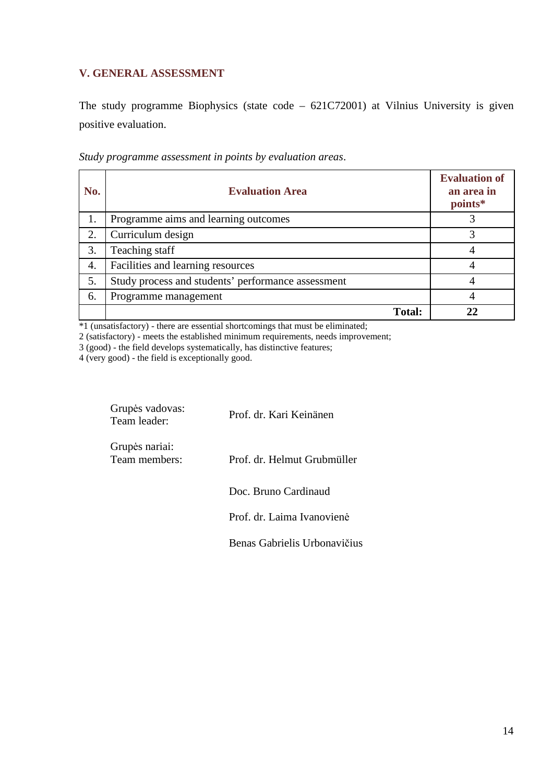### **V. GENERAL ASSESSMENT**

The study programme Biophysics (state code – 621C72001) at Vilnius University is given positive evaluation.

| No. | <b>Evaluation Area</b>                             | <b>Evaluation of</b><br>an area in<br>points* |
|-----|----------------------------------------------------|-----------------------------------------------|
| 1.  | Programme aims and learning outcomes               |                                               |
| 2.  | Curriculum design                                  |                                               |
| 3.  | Teaching staff                                     |                                               |
| 4.  | Facilities and learning resources                  |                                               |
| 5.  | Study process and students' performance assessment |                                               |
| 6.  | Programme management                               |                                               |
|     | <b>Total:</b>                                      |                                               |

*Study programme assessment in points by evaluation areas*.

\*1 (unsatisfactory) - there are essential shortcomings that must be eliminated;

2 (satisfactory) - meets the established minimum requirements, needs improvement;

3 (good) - the field develops systematically, has distinctive features;

4 (very good) - the field is exceptionally good.

| Grupės vadovas:<br>Team leader: | Prof. dr. Kari Keinänen      |
|---------------------------------|------------------------------|
| Grupės nariai:<br>Team members: | Prof. dr. Helmut Grubmüller  |
|                                 | Doc. Bruno Cardinaud         |
|                                 | Prof. dr. Laima Ivanovienė   |
|                                 | Benas Gabrielis Urbonavičius |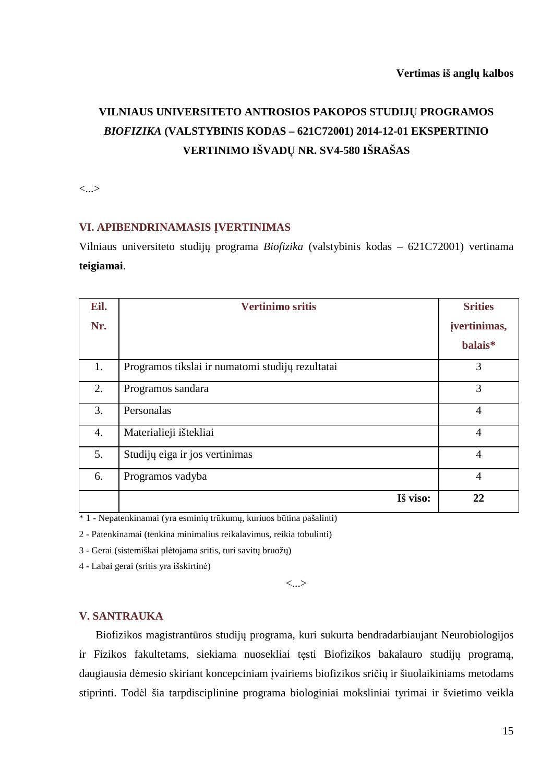## **VILNIAUS UNIVERSITETO ANTROSIOS PAKOPOS STUDIJŲ PROGRAMOS**  *BIOFIZIKA* **(VALSTYBINIS KODAS – 621C72001) 2014-12-01 EKSPERTINIO VERTINIMO IŠVADŲ NR. SV4-580 IŠRAŠAS**

<...>

#### **VI. APIBENDRINAMASIS ĮVERTINIMAS**

Vilniaus universiteto studijų programa *Biofizika* (valstybinis kodas – 621C72001) vertinama **teigiamai**.

| Eil.             | <b>Vertinimo sritis</b>                          | <b>Srities</b> |
|------------------|--------------------------------------------------|----------------|
| Nr.              |                                                  | jvertinimas,   |
|                  |                                                  | balais*        |
| 1.               | Programos tikslai ir numatomi studijų rezultatai | 3              |
| 2.               | Programos sandara                                | 3              |
| 3.               | Personalas                                       | $\overline{4}$ |
| $\overline{4}$ . | Materialieji ištekliai                           | $\overline{4}$ |
| 5.               | Studijų eiga ir jos vertinimas                   | $\overline{4}$ |
| 6.               | Programos vadyba                                 | $\overline{4}$ |
|                  | Iš viso:                                         | 22             |

\* 1 - Nepatenkinamai (yra esminių trūkumų, kuriuos būtina pašalinti)

2 - Patenkinamai (tenkina minimalius reikalavimus, reikia tobulinti)

3 - Gerai (sistemiškai plėtojama sritis, turi savitų bruožų)

4 - Labai gerai (sritis yra išskirtinė)

<...>

#### **V. SANTRAUKA**

Biofizikos magistrantūros studijų programa, kuri sukurta bendradarbiaujant Neurobiologijos ir Fizikos fakultetams, siekiama nuosekliai tęsti Biofizikos bakalauro studijų programą, daugiausia dėmesio skiriant koncepciniam įvairiems biofizikos sričių ir šiuolaikiniams metodams stiprinti. Todėl šia tarpdisciplinine programa biologiniai moksliniai tyrimai ir švietimo veikla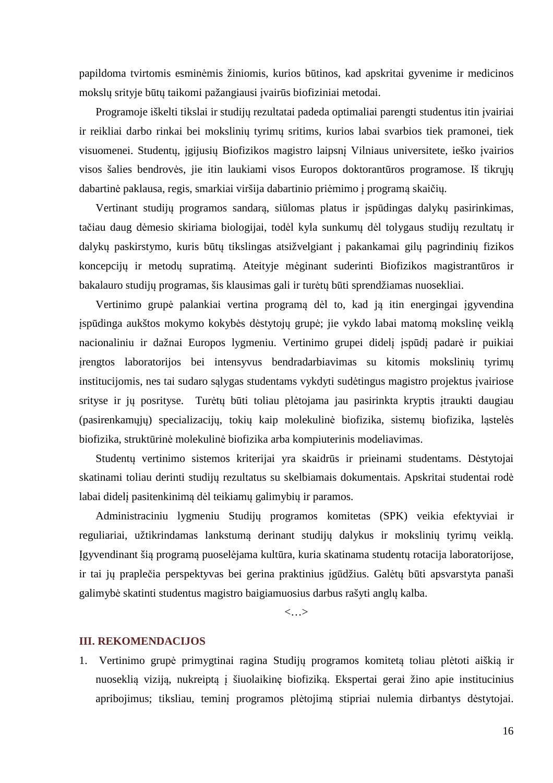papildoma tvirtomis esminėmis žiniomis, kurios būtinos, kad apskritai gyvenime ir medicinos mokslų srityje būtų taikomi pažangiausi įvairūs biofiziniai metodai.

Programoje iškelti tikslai ir studijų rezultatai padeda optimaliai parengti studentus itin įvairiai ir reikliai darbo rinkai bei mokslinių tyrimų sritims, kurios labai svarbios tiek pramonei, tiek visuomenei. Studentų, įgijusių Biofizikos magistro laipsnį Vilniaus universitete, ieško įvairios visos šalies bendrovės, jie itin laukiami visos Europos doktorantūros programose. Iš tikrųjų dabartinė paklausa, regis, smarkiai viršija dabartinio priėmimo į programą skaičių.

Vertinant studijų programos sandarą, siūlomas platus ir įspūdingas dalykų pasirinkimas, tačiau daug dėmesio skiriama biologijai, todėl kyla sunkumų dėl tolygaus studijų rezultatų ir dalykų paskirstymo, kuris būtų tikslingas atsižvelgiant į pakankamai gilų pagrindinių fizikos koncepcijų ir metodų supratimą. Ateityje mėginant suderinti Biofizikos magistrantūros ir bakalauro studijų programas, šis klausimas gali ir turėtų būti sprendžiamas nuosekliai.

Vertinimo grupė palankiai vertina programą dėl to, kad ją itin energingai įgyvendina įspūdinga aukštos mokymo kokybės dėstytojų grupė; jie vykdo labai matomą mokslinę veiklą nacionaliniu ir dažnai Europos lygmeniu. Vertinimo grupei didelį įspūdį padarė ir puikiai įrengtos laboratorijos bei intensyvus bendradarbiavimas su kitomis mokslinių tyrimų institucijomis, nes tai sudaro sąlygas studentams vykdyti sudėtingus magistro projektus įvairiose srityse ir jų posrityse. Turėtų būti toliau plėtojama jau pasirinkta kryptis įtraukti daugiau (pasirenkamųjų) specializacijų, tokių kaip molekulinė biofizika, sistemų biofizika, ląstelės biofizika, struktūrinė molekulinė biofizika arba kompiuterinis modeliavimas.

Studentų vertinimo sistemos kriterijai yra skaidrūs ir prieinami studentams. Dėstytojai skatinami toliau derinti studijų rezultatus su skelbiamais dokumentais. Apskritai studentai rodė labai didelį pasitenkinimą dėl teikiamų galimybių ir paramos.

Administraciniu lygmeniu Studijų programos komitetas (SPK) veikia efektyviai ir reguliariai, užtikrindamas lankstumą derinant studijų dalykus ir mokslinių tyrimų veiklą. Įgyvendinant šią programą puoselėjama kultūra, kuria skatinama studentų rotacija laboratorijose, ir tai jų praplečia perspektyvas bei gerina praktinius įgūdžius. Galėtų būti apsvarstyta panaši galimybė skatinti studentus magistro baigiamuosius darbus rašyti anglų kalba.

 $\langle \ldots \rangle$ 

#### **III. REKOMENDACIJOS**

1. Vertinimo grupė primygtinai ragina Studijų programos komitetą toliau plėtoti aiškią ir nuoseklią viziją, nukreiptą į šiuolaikinę biofiziką. Ekspertai gerai žino apie institucinius apribojimus; tiksliau, teminį programos plėtojimą stipriai nulemia dirbantys dėstytojai.